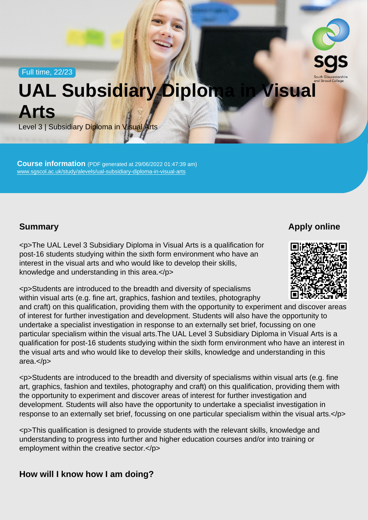Full time, 22/23

## UAL Subsidiary Diploma in Visual Arts

Level 3 | Subsidiary Diploma in Visual Arts

Course information (PDF generated at 29/06/2022 01:47:39 am) [www.sgscol.ac.uk/study/alevels/ual-subsidiary-diploma-in-visual-arts](https://www.sgscol.ac.uk/study/alevels/ual-subsidiary-diploma-in-visual-arts)

## **Summary**

Apply online

<p>The UAL Level 3 Subsidiary Diploma in Visual Arts is a qualification for post-16 students studying within the sixth form environment who have an interest in the visual arts and who would like to develop their skills, knowledge and understanding in this area.</p>

<p>Students are introduced to the breadth and diversity of specialisms within visual arts (e.g. fine art, graphics, fashion and textiles, photography and craft) on this qualification, providing them with the opportunity to experiment and discover areas of interest for further investigation and development. Students will also have the opportunity to undertake a specialist investigation in response to an externally set brief, focussing on one particular specialism within the visual arts.The UAL Level 3 Subsidiary Diploma in Visual Arts is a qualification for post-16 students studying within the sixth form environment who have an interest in the visual arts and who would like to develop their skills, knowledge and understanding in this area.</p>

<p>Students are introduced to the breadth and diversity of specialisms within visual arts (e.g. fine art, graphics, fashion and textiles, photography and craft) on this qualification, providing them with the opportunity to experiment and discover areas of interest for further investigation and development. Students will also have the opportunity to undertake a specialist investigation in response to an externally set brief, focussing on one particular specialism within the visual arts.</p>

<p>This qualification is designed to provide students with the relevant skills, knowledge and understanding to progress into further and higher education courses and/or into training or employment within the creative sector.</p>

How will I know how I am doing?